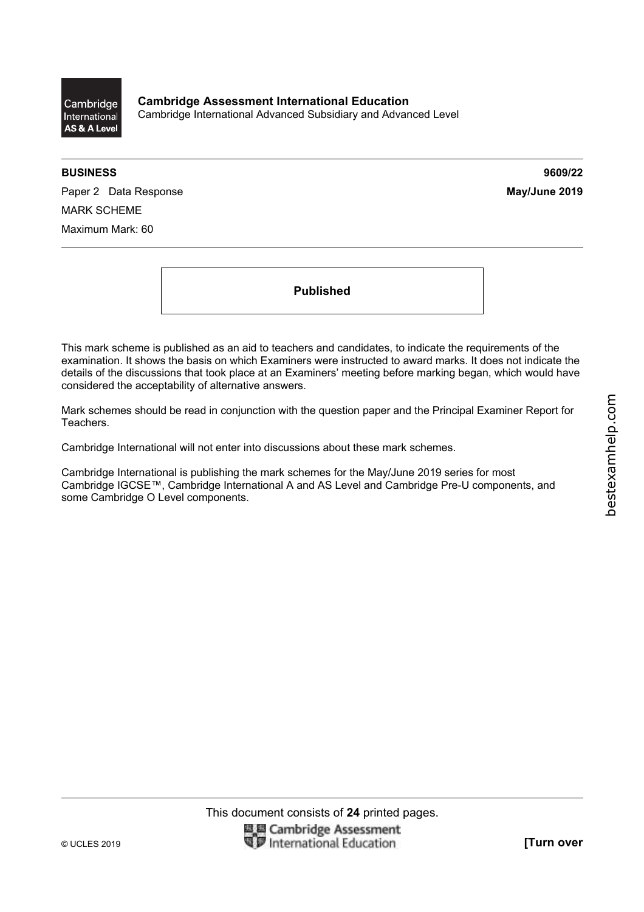**BUSINESS 9609/22** 

Paper 2 Data Response **May/June 2019** MARK SCHEME Maximum Mark: 60

**Published** 

This mark scheme is published as an aid to teachers and candidates, to indicate the requirements of the examination. It shows the basis on which Examiners were instructed to award marks. It does not indicate the details of the discussions that took place at an Examiners' meeting before marking began, which would have considered the acceptability of alternative answers.

Mark schemes should be read in conjunction with the question paper and the Principal Examiner Report for Teachers.

Cambridge International will not enter into discussions about these mark schemes.

Cambridge International is publishing the mark schemes for the May/June 2019 series for most Cambridge IGCSE™, Cambridge International A and AS Level and Cambridge Pre-U components, and some Cambridge O Level components.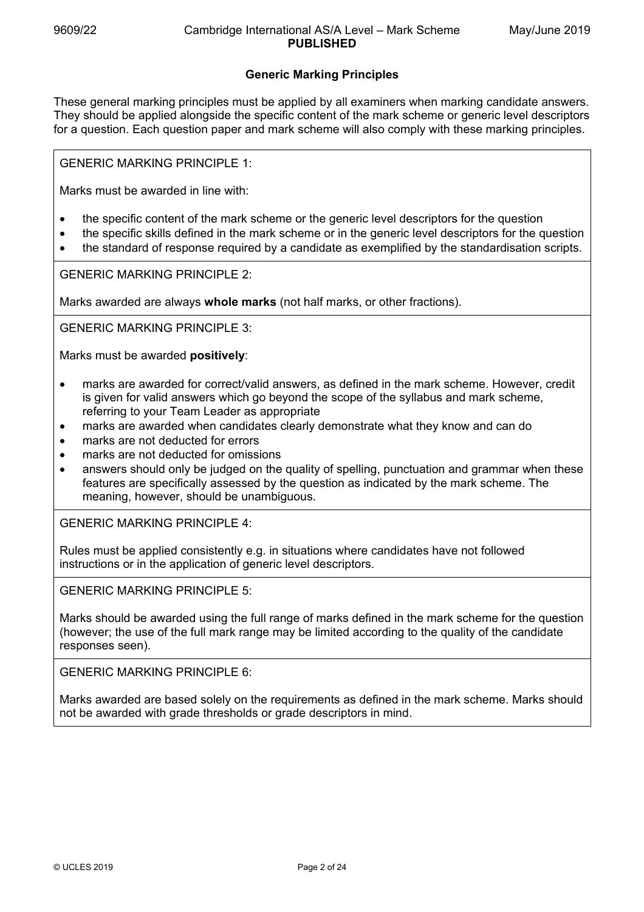# **Generic Marking Principles**

These general marking principles must be applied by all examiners when marking candidate answers. They should be applied alongside the specific content of the mark scheme or generic level descriptors for a question. Each question paper and mark scheme will also comply with these marking principles.

GENERIC MARKING PRINCIPLE 1:

Marks must be awarded in line with:

- the specific content of the mark scheme or the generic level descriptors for the question
- the specific skills defined in the mark scheme or in the generic level descriptors for the question
- the standard of response required by a candidate as exemplified by the standardisation scripts.

GENERIC MARKING PRINCIPLE 2:

Marks awarded are always **whole marks** (not half marks, or other fractions).

GENERIC MARKING PRINCIPLE 3:

Marks must be awarded **positively**:

- marks are awarded for correct/valid answers, as defined in the mark scheme. However, credit is given for valid answers which go beyond the scope of the syllabus and mark scheme, referring to your Team Leader as appropriate
- marks are awarded when candidates clearly demonstrate what they know and can do
- marks are not deducted for errors
- marks are not deducted for omissions
- answers should only be judged on the quality of spelling, punctuation and grammar when these features are specifically assessed by the question as indicated by the mark scheme. The meaning, however, should be unambiguous.

GENERIC MARKING PRINCIPLE 4:

Rules must be applied consistently e.g. in situations where candidates have not followed instructions or in the application of generic level descriptors.

GENERIC MARKING PRINCIPLE 5:

Marks should be awarded using the full range of marks defined in the mark scheme for the question (however; the use of the full mark range may be limited according to the quality of the candidate responses seen).

GENERIC MARKING PRINCIPLE 6:

Marks awarded are based solely on the requirements as defined in the mark scheme. Marks should not be awarded with grade thresholds or grade descriptors in mind.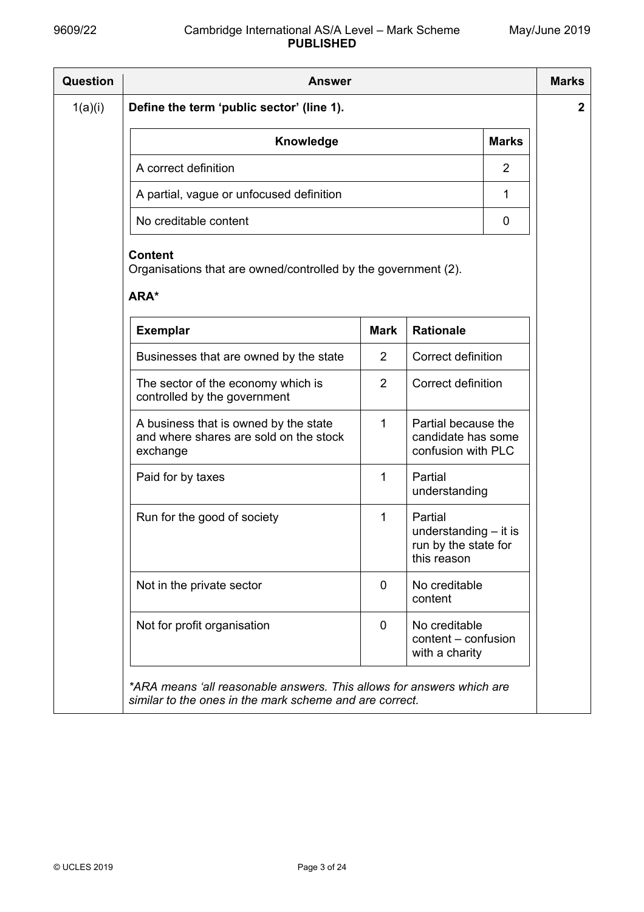| <b>Question</b> | <b>Answer</b>                                                                                                                    |             |                                                                           |                | <b>Marks</b> |  |  |
|-----------------|----------------------------------------------------------------------------------------------------------------------------------|-------------|---------------------------------------------------------------------------|----------------|--------------|--|--|
| 1(a)(i)         | Define the term 'public sector' (line 1).                                                                                        |             |                                                                           |                |              |  |  |
|                 | Knowledge                                                                                                                        |             |                                                                           | <b>Marks</b>   |              |  |  |
|                 | A correct definition                                                                                                             |             |                                                                           | $\overline{2}$ |              |  |  |
|                 | A partial, vague or unfocused definition                                                                                         |             |                                                                           | 1              |              |  |  |
|                 | No creditable content                                                                                                            |             |                                                                           | 0              |              |  |  |
|                 | <b>Content</b><br>Organisations that are owned/controlled by the government (2).<br>ARA*                                         |             |                                                                           |                |              |  |  |
|                 | <b>Exemplar</b>                                                                                                                  | <b>Mark</b> | <b>Rationale</b>                                                          |                |              |  |  |
|                 | 2<br>Businesses that are owned by the state                                                                                      |             | Correct definition                                                        |                |              |  |  |
|                 | The sector of the economy which is<br>controlled by the government                                                               | 2           | Correct definition                                                        |                |              |  |  |
|                 | A business that is owned by the state<br>and where shares are sold on the stock<br>exchange                                      | 1           | Partial because the<br>candidate has some<br>confusion with PLC           |                |              |  |  |
|                 | Paid for by taxes                                                                                                                | 1           | Partial<br>understanding                                                  |                |              |  |  |
|                 | Run for the good of society                                                                                                      | 1           | Partial<br>understanding $-$ it is<br>run by the state for<br>this reason |                |              |  |  |
|                 | Not in the private sector                                                                                                        | 0           | No creditable<br>content                                                  |                |              |  |  |
|                 | Not for profit organisation                                                                                                      | 0           | No creditable<br>content – confusion<br>with a charity                    |                |              |  |  |
|                 | *ARA means 'all reasonable answers. This allows for answers which are<br>similar to the ones in the mark scheme and are correct. |             |                                                                           |                |              |  |  |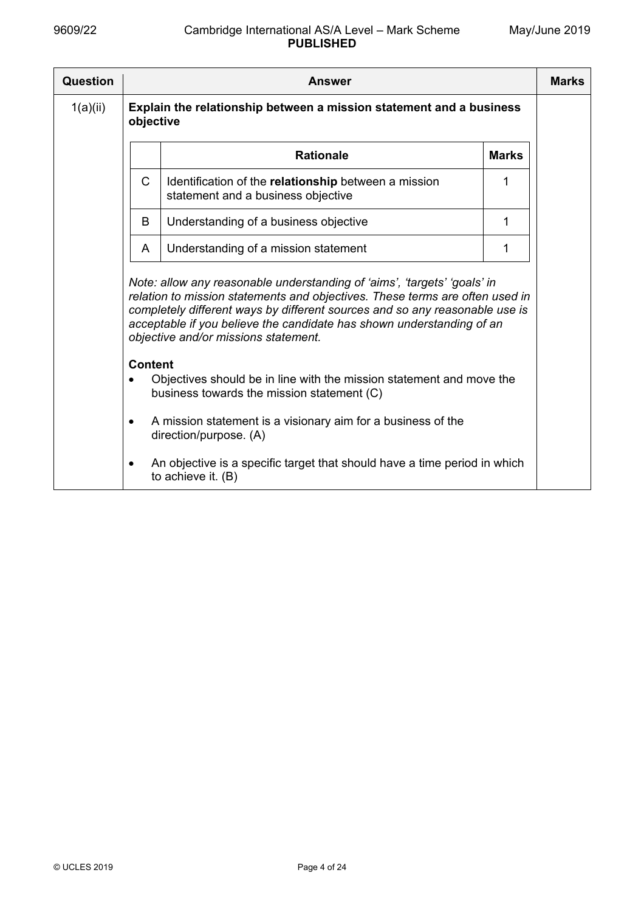| Question | <b>Answer</b>                                                                                                                                                                                                                                                                                                                                            |                                                                                                 |   |  |  |  |
|----------|----------------------------------------------------------------------------------------------------------------------------------------------------------------------------------------------------------------------------------------------------------------------------------------------------------------------------------------------------------|-------------------------------------------------------------------------------------------------|---|--|--|--|
| 1(a)(ii) | Explain the relationship between a mission statement and a business<br>objective                                                                                                                                                                                                                                                                         |                                                                                                 |   |  |  |  |
|          |                                                                                                                                                                                                                                                                                                                                                          | <b>Rationale</b><br><b>Marks</b>                                                                |   |  |  |  |
|          | $\mathsf{C}$                                                                                                                                                                                                                                                                                                                                             | Identification of the relationship between a mission<br>statement and a business objective      | 1 |  |  |  |
|          | B                                                                                                                                                                                                                                                                                                                                                        | Understanding of a business objective                                                           | 1 |  |  |  |
|          | A                                                                                                                                                                                                                                                                                                                                                        | Understanding of a mission statement                                                            | 1 |  |  |  |
|          | Note: allow any reasonable understanding of 'aims', 'targets' 'goals' in<br>relation to mission statements and objectives. These terms are often used in<br>completely different ways by different sources and so any reasonable use is<br>acceptable if you believe the candidate has shown understanding of an<br>objective and/or missions statement. |                                                                                                 |   |  |  |  |
|          | <b>Content</b><br>Objectives should be in line with the mission statement and move the<br>business towards the mission statement (C)                                                                                                                                                                                                                     |                                                                                                 |   |  |  |  |
|          | $\bullet$                                                                                                                                                                                                                                                                                                                                                | A mission statement is a visionary aim for a business of the<br>direction/purpose. (A)          |   |  |  |  |
|          | $\bullet$                                                                                                                                                                                                                                                                                                                                                | An objective is a specific target that should have a time period in which<br>to achieve it. (B) |   |  |  |  |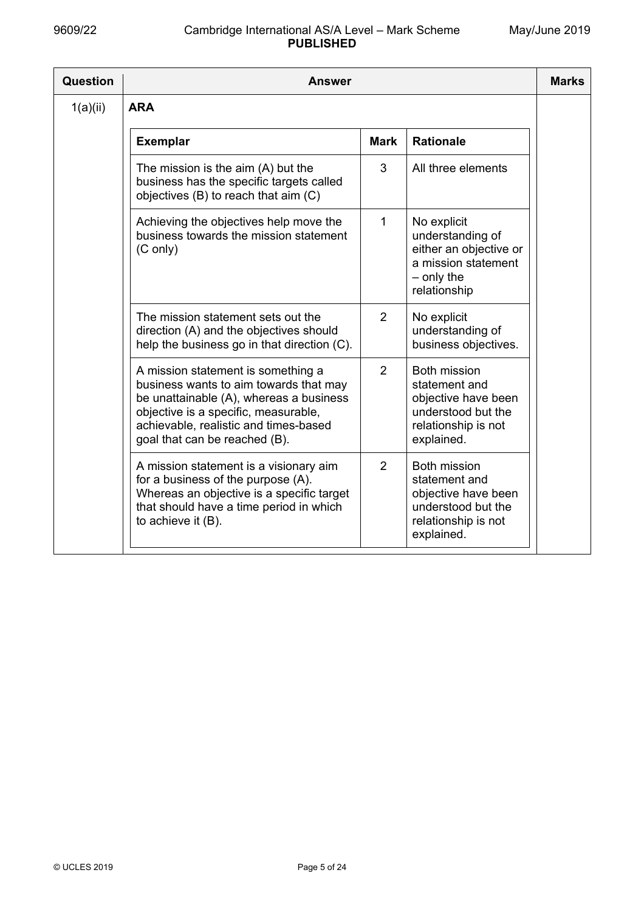| Question | <b>Answer</b>                                                                                                                                                                                                                                  |                                                                                                                        |  |  |  |  |  |  |
|----------|------------------------------------------------------------------------------------------------------------------------------------------------------------------------------------------------------------------------------------------------|------------------------------------------------------------------------------------------------------------------------|--|--|--|--|--|--|
| 1(a)(ii) | <b>ARA</b>                                                                                                                                                                                                                                     |                                                                                                                        |  |  |  |  |  |  |
|          | <b>Exemplar</b><br><b>Mark</b>                                                                                                                                                                                                                 | <b>Rationale</b>                                                                                                       |  |  |  |  |  |  |
|          | 3<br>The mission is the aim (A) but the<br>business has the specific targets called<br>objectives (B) to reach that aim (C)                                                                                                                    | All three elements                                                                                                     |  |  |  |  |  |  |
|          | Achieving the objectives help move the<br>1<br>business towards the mission statement<br>$(C \text{ only})$                                                                                                                                    | No explicit<br>understanding of<br>either an objective or<br>a mission statement<br>$-$ only the<br>relationship       |  |  |  |  |  |  |
|          | The mission statement sets out the<br>2<br>direction (A) and the objectives should<br>help the business go in that direction (C).                                                                                                              | No explicit<br>understanding of<br>business objectives.                                                                |  |  |  |  |  |  |
|          | 2<br>A mission statement is something a<br>business wants to aim towards that may<br>be unattainable (A), whereas a business<br>objective is a specific, measurable,<br>achievable, realistic and times-based<br>goal that can be reached (B). | <b>Both mission</b><br>statement and<br>objective have been<br>understood but the<br>relationship is not<br>explained. |  |  |  |  |  |  |
|          | 2<br>A mission statement is a visionary aim<br>for a business of the purpose (A).<br>Whereas an objective is a specific target<br>that should have a time period in which<br>to achieve it (B).                                                | <b>Both mission</b><br>statement and<br>objective have been<br>understood but the<br>relationship is not<br>explained. |  |  |  |  |  |  |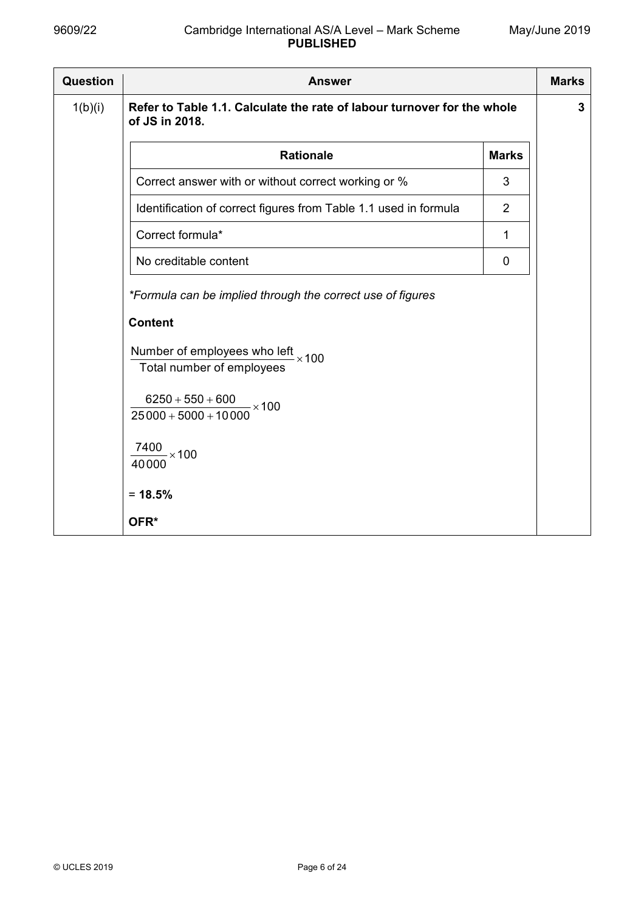| Question | <b>Answer</b>                                                                             |                | <b>Marks</b> |  |  |  |  |
|----------|-------------------------------------------------------------------------------------------|----------------|--------------|--|--|--|--|
| 1(b)(i)  | Refer to Table 1.1. Calculate the rate of labour turnover for the whole<br>of JS in 2018. |                |              |  |  |  |  |
|          | <b>Rationale</b><br><b>Marks</b>                                                          |                |              |  |  |  |  |
|          | Correct answer with or without correct working or %                                       | 3              |              |  |  |  |  |
|          | Identification of correct figures from Table 1.1 used in formula                          | $\overline{2}$ |              |  |  |  |  |
|          | Correct formula*                                                                          | 1              |              |  |  |  |  |
|          | No creditable content                                                                     | $\mathbf 0$    |              |  |  |  |  |
|          | *Formula can be implied through the correct use of figures                                |                |              |  |  |  |  |
|          | <b>Content</b>                                                                            |                |              |  |  |  |  |
|          | Number of employees who left<br>$\frac{1}{2}$ $\times$ 100<br>Total number of employees   |                |              |  |  |  |  |
|          | $6250 + 550 + 600$<br>$-x100$<br>$25000 + 5000 + 10000$                                   |                |              |  |  |  |  |
|          | $\frac{7400}{2}$ × 100<br>40000                                                           |                |              |  |  |  |  |
|          | $= 18.5%$                                                                                 |                |              |  |  |  |  |
|          | OFR*                                                                                      |                |              |  |  |  |  |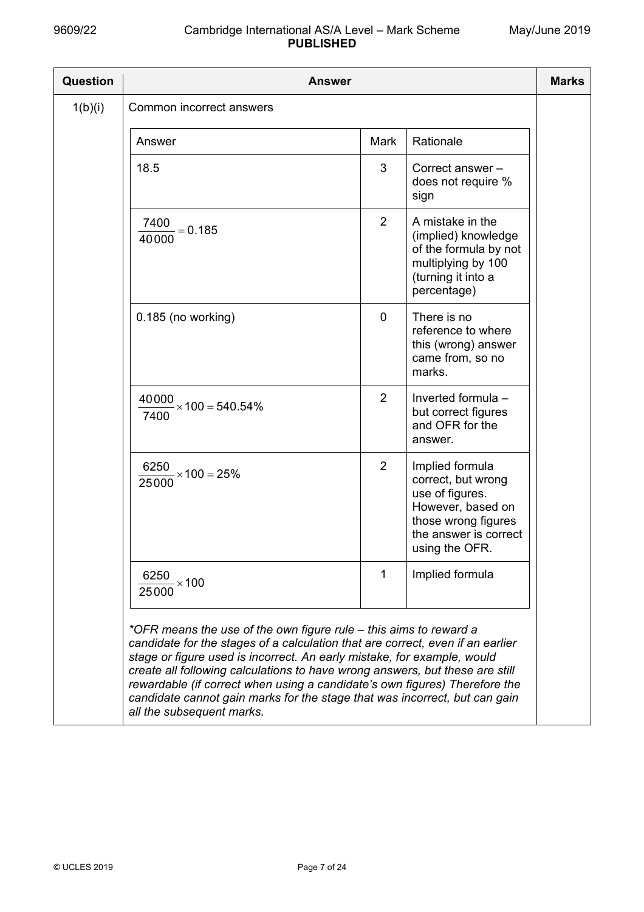| Question | <b>Answer</b>                                                                                                                                                                                                                                                                                                                                                                                                                                                                                           |                |                                                                                                                                                 | <b>Marks</b> |
|----------|---------------------------------------------------------------------------------------------------------------------------------------------------------------------------------------------------------------------------------------------------------------------------------------------------------------------------------------------------------------------------------------------------------------------------------------------------------------------------------------------------------|----------------|-------------------------------------------------------------------------------------------------------------------------------------------------|--------------|
| 1(b)(i)  | Common incorrect answers                                                                                                                                                                                                                                                                                                                                                                                                                                                                                |                |                                                                                                                                                 |              |
|          | Answer                                                                                                                                                                                                                                                                                                                                                                                                                                                                                                  | Mark           | Rationale                                                                                                                                       |              |
|          | 18.5                                                                                                                                                                                                                                                                                                                                                                                                                                                                                                    | 3              | Correct answer -<br>does not require %<br>sign                                                                                                  |              |
|          | 7400<br>$= 0.185$<br>40000                                                                                                                                                                                                                                                                                                                                                                                                                                                                              | $\overline{2}$ | A mistake in the<br>(implied) knowledge<br>of the formula by not<br>multiplying by 100<br>(turning it into a<br>percentage)                     |              |
|          | 0.185 (no working)                                                                                                                                                                                                                                                                                                                                                                                                                                                                                      | 0              | There is no<br>reference to where<br>this (wrong) answer<br>came from, so no<br>marks.                                                          |              |
|          | $\frac{40000}{100}$ × 100 = 540.54%<br>7400                                                                                                                                                                                                                                                                                                                                                                                                                                                             | $\overline{2}$ | Inverted formula -<br>but correct figures<br>and OFR for the<br>answer.                                                                         |              |
|          | $\frac{6250}{ } \times 100 = 25\%$<br>25000                                                                                                                                                                                                                                                                                                                                                                                                                                                             | $\overline{2}$ | Implied formula<br>correct, but wrong<br>use of figures.<br>However, based on<br>those wrong figures<br>the answer is correct<br>using the OFR. |              |
|          | $\frac{6250}{25000}$ × 100                                                                                                                                                                                                                                                                                                                                                                                                                                                                              | 1              | Implied formula                                                                                                                                 |              |
|          | *OFR means the use of the own figure rule – this aims to reward a<br>candidate for the stages of a calculation that are correct, even if an earlier<br>stage or figure used is incorrect. An early mistake, for example, would<br>create all following calculations to have wrong answers, but these are still<br>rewardable (if correct when using a candidate's own figures) Therefore the<br>candidate cannot gain marks for the stage that was incorrect, but can gain<br>all the subsequent marks. |                |                                                                                                                                                 |              |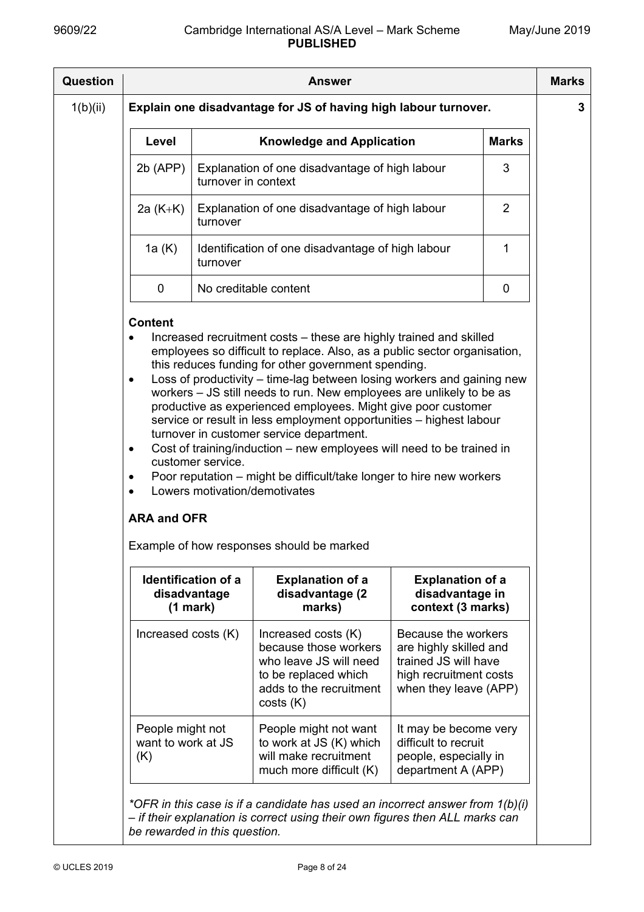| <b>Question</b> | <b>Answer</b>                                                   |                                                        |                                                                                                                                                                                                                                                                                                                                                                                                                                                                                                                                                                                                                                                                                                       |                                                                                                                          |                | <b>Marks</b> |
|-----------------|-----------------------------------------------------------------|--------------------------------------------------------|-------------------------------------------------------------------------------------------------------------------------------------------------------------------------------------------------------------------------------------------------------------------------------------------------------------------------------------------------------------------------------------------------------------------------------------------------------------------------------------------------------------------------------------------------------------------------------------------------------------------------------------------------------------------------------------------------------|--------------------------------------------------------------------------------------------------------------------------|----------------|--------------|
| 1(b)(ii)        | Explain one disadvantage for JS of having high labour turnover. |                                                        |                                                                                                                                                                                                                                                                                                                                                                                                                                                                                                                                                                                                                                                                                                       |                                                                                                                          |                | 3            |
|                 | Level                                                           |                                                        | <b>Knowledge and Application</b>                                                                                                                                                                                                                                                                                                                                                                                                                                                                                                                                                                                                                                                                      |                                                                                                                          | <b>Marks</b>   |              |
|                 | $2b$ (APP)                                                      | turnover in context                                    | Explanation of one disadvantage of high labour                                                                                                                                                                                                                                                                                                                                                                                                                                                                                                                                                                                                                                                        |                                                                                                                          | 3              |              |
|                 | 2a $(K+K)$                                                      | turnover                                               | Explanation of one disadvantage of high labour                                                                                                                                                                                                                                                                                                                                                                                                                                                                                                                                                                                                                                                        |                                                                                                                          | $\overline{2}$ |              |
|                 | 1a (K)                                                          | turnover                                               | Identification of one disadvantage of high labour                                                                                                                                                                                                                                                                                                                                                                                                                                                                                                                                                                                                                                                     |                                                                                                                          | 1              |              |
|                 | $\mathbf 0$                                                     |                                                        | No creditable content                                                                                                                                                                                                                                                                                                                                                                                                                                                                                                                                                                                                                                                                                 |                                                                                                                          | 0              |              |
|                 | $\bullet$<br>$\bullet$<br>٠<br>٠<br><b>ARA and OFR</b>          | customer service.                                      | employees so difficult to replace. Also, as a public sector organisation,<br>this reduces funding for other government spending.<br>Loss of productivity – time-lag between losing workers and gaining new<br>workers - JS still needs to run. New employees are unlikely to be as<br>productive as experienced employees. Might give poor customer<br>service or result in less employment opportunities - highest labour<br>turnover in customer service department.<br>Cost of training/induction – new employees will need to be trained in<br>Poor reputation – might be difficult/take longer to hire new workers<br>Lowers motivation/demotivates<br>Example of how responses should be marked |                                                                                                                          |                |              |
|                 |                                                                 | <b>Identification of a</b><br>disadvantage<br>(1 mark) | <b>Explanation of a</b><br>disadvantage (2<br>marks)                                                                                                                                                                                                                                                                                                                                                                                                                                                                                                                                                                                                                                                  | <b>Explanation of a</b><br>disadvantage in<br>context (3 marks)                                                          |                |              |
|                 | Increased costs (K)                                             |                                                        | Increased costs (K)<br>because those workers<br>who leave JS will need<br>to be replaced which<br>adds to the recruitment<br>costs(K)                                                                                                                                                                                                                                                                                                                                                                                                                                                                                                                                                                 | Because the workers<br>are highly skilled and<br>trained JS will have<br>high recruitment costs<br>when they leave (APP) |                |              |
|                 | People might not<br>want to work at JS<br>(K)                   |                                                        | People might not want<br>to work at JS (K) which<br>will make recruitment<br>much more difficult (K)                                                                                                                                                                                                                                                                                                                                                                                                                                                                                                                                                                                                  | It may be become very<br>difficult to recruit<br>people, especially in<br>department A (APP)                             |                |              |
|                 | be rewarded in this question.                                   |                                                        | *OFR in this case is if a candidate has used an incorrect answer from $1(b)(i)$<br>- if their explanation is correct using their own figures then ALL marks can                                                                                                                                                                                                                                                                                                                                                                                                                                                                                                                                       |                                                                                                                          |                |              |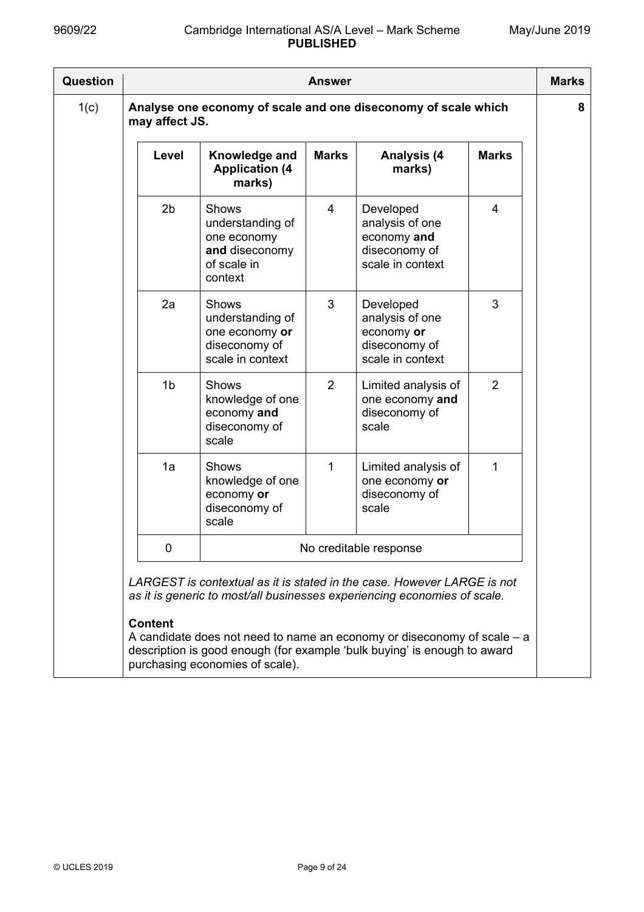| Question |                                                                                                                                                     |                                                                                             | <b>Answer</b>  |                                                                                                                                                       |                | <b>Marks</b> |  |  |
|----------|-----------------------------------------------------------------------------------------------------------------------------------------------------|---------------------------------------------------------------------------------------------|----------------|-------------------------------------------------------------------------------------------------------------------------------------------------------|----------------|--------------|--|--|
| 1(c)     | may affect JS.                                                                                                                                      |                                                                                             |                | Analyse one economy of scale and one diseconomy of scale which                                                                                        |                | 8            |  |  |
|          | Level                                                                                                                                               | Knowledge and<br><b>Application (4)</b><br>marks)                                           | <b>Marks</b>   | <b>Analysis (4</b><br>marks)                                                                                                                          | <b>Marks</b>   |              |  |  |
|          | 2 <sub>b</sub>                                                                                                                                      | <b>Shows</b><br>understanding of<br>one economy<br>and diseconomy<br>of scale in<br>context | $\overline{4}$ | Developed<br>analysis of one<br>economy and<br>diseconomy of<br>scale in context                                                                      | $\overline{4}$ |              |  |  |
|          | 2a                                                                                                                                                  | Shows<br>understanding of<br>one economy or<br>diseconomy of<br>scale in context            | 3              | Developed<br>analysis of one<br>economy or<br>diseconomy of<br>scale in context                                                                       | 3              |              |  |  |
|          | 1 <sub>b</sub>                                                                                                                                      | <b>Shows</b><br>knowledge of one<br>economy and<br>diseconomy of<br>scale                   | 2              | Limited analysis of<br>one economy and<br>diseconomy of<br>scale                                                                                      | 2              |              |  |  |
|          | 1a                                                                                                                                                  | <b>Shows</b><br>knowledge of one<br>economy or<br>diseconomy of<br>scale                    | 1              | Limited analysis of<br>one economy or<br>diseconomy of<br>scale                                                                                       | 1              |              |  |  |
|          | 0<br>No creditable response                                                                                                                         |                                                                                             |                |                                                                                                                                                       |                |              |  |  |
|          | LARGEST is contextual as it is stated in the case. However LARGE is not<br>as it is generic to most/all businesses experiencing economies of scale. |                                                                                             |                |                                                                                                                                                       |                |              |  |  |
|          | <b>Content</b>                                                                                                                                      | purchasing economies of scale).                                                             |                | A candidate does not need to name an economy or diseconomy of scale $-$ a<br>description is good enough (for example 'bulk buying' is enough to award |                |              |  |  |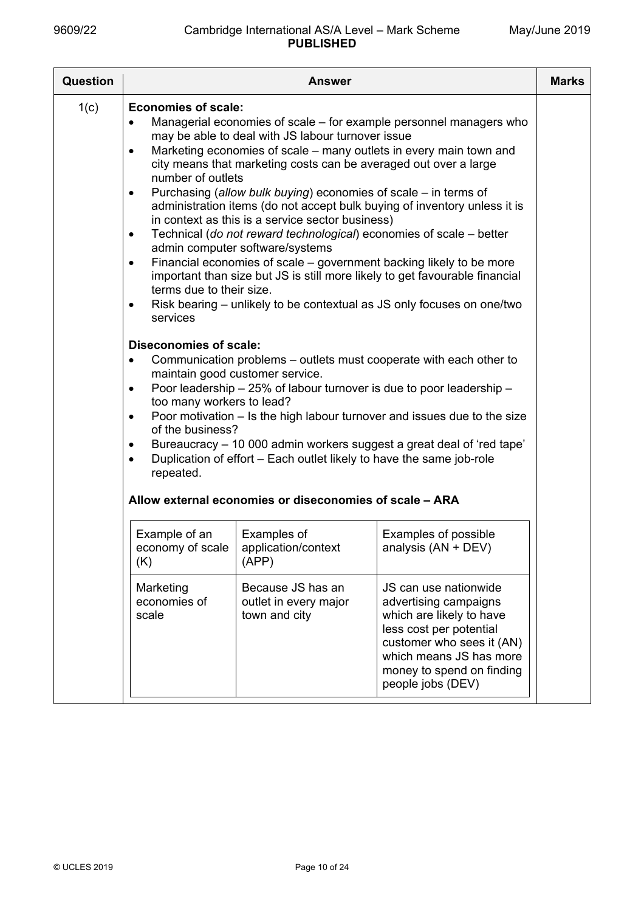| Question |                                                                                                                                                                                                                                                                                                                                       | <b>Answer</b>                                                                                                                                                                                                                                                                                                                                                                                                                                                                                                                                                                                                   |                                                                                                                                                                                                                                                                                                                                                                                                                                                                                                                                                                                                            | <b>Marks</b> |
|----------|---------------------------------------------------------------------------------------------------------------------------------------------------------------------------------------------------------------------------------------------------------------------------------------------------------------------------------------|-----------------------------------------------------------------------------------------------------------------------------------------------------------------------------------------------------------------------------------------------------------------------------------------------------------------------------------------------------------------------------------------------------------------------------------------------------------------------------------------------------------------------------------------------------------------------------------------------------------------|------------------------------------------------------------------------------------------------------------------------------------------------------------------------------------------------------------------------------------------------------------------------------------------------------------------------------------------------------------------------------------------------------------------------------------------------------------------------------------------------------------------------------------------------------------------------------------------------------------|--------------|
| 1(c)     | <b>Economies of scale:</b><br>$\bullet$<br>$\bullet$<br>number of outlets<br>$\bullet$<br>$\bullet$<br>$\bullet$<br>terms due to their size.<br>$\bullet$<br>services<br><b>Diseconomies of scale:</b><br>$\bullet$<br>$\bullet$<br>too many workers to lead?<br>$\bullet$<br>of the business?<br>$\bullet$<br>$\bullet$<br>repeated. | may be able to deal with JS labour turnover issue<br>Marketing economies of scale – many outlets in every main town and<br>city means that marketing costs can be averaged out over a large<br>Purchasing (allow bulk buying) economies of scale – in terms of<br>in context as this is a service sector business)<br>Technical (do not reward technological) economies of scale - better<br>admin computer software/systems<br>maintain good customer service.<br>Poor leadership - 25% of labour turnover is due to poor leadership -<br>Duplication of effort - Each outlet likely to have the same job-role | Managerial economies of scale – for example personnel managers who<br>administration items (do not accept bulk buying of inventory unless it is<br>Financial economies of scale – government backing likely to be more<br>important than size but JS is still more likely to get favourable financial<br>Risk bearing – unlikely to be contextual as JS only focuses on one/two<br>Communication problems – outlets must cooperate with each other to<br>Poor motivation – Is the high labour turnover and issues due to the size<br>Bureaucracy - 10 000 admin workers suggest a great deal of 'red tape' |              |
|          |                                                                                                                                                                                                                                                                                                                                       | Allow external economies or diseconomies of scale - ARA                                                                                                                                                                                                                                                                                                                                                                                                                                                                                                                                                         |                                                                                                                                                                                                                                                                                                                                                                                                                                                                                                                                                                                                            |              |
|          | Example of an<br>Examples of<br>Examples of possible<br>economy of scale<br>application/context<br>analysis (AN + DEV)<br>(APP)<br>(K)                                                                                                                                                                                                |                                                                                                                                                                                                                                                                                                                                                                                                                                                                                                                                                                                                                 |                                                                                                                                                                                                                                                                                                                                                                                                                                                                                                                                                                                                            |              |
|          | Marketing<br>economies of<br>scale                                                                                                                                                                                                                                                                                                    | Because JS has an<br>outlet in every major<br>town and city                                                                                                                                                                                                                                                                                                                                                                                                                                                                                                                                                     | JS can use nationwide<br>advertising campaigns<br>which are likely to have<br>less cost per potential<br>customer who sees it (AN)<br>which means JS has more<br>money to spend on finding<br>people jobs (DEV)                                                                                                                                                                                                                                                                                                                                                                                            |              |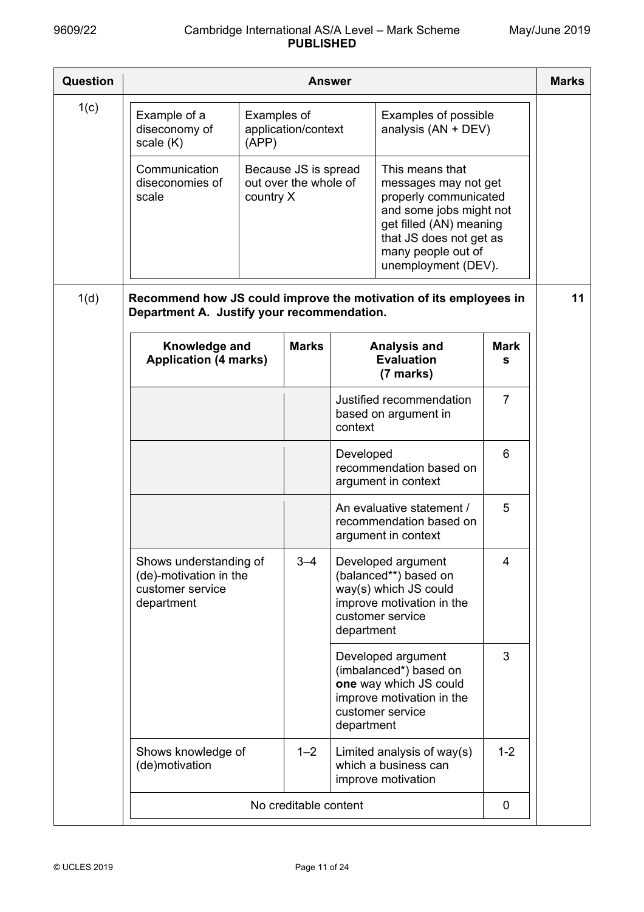| Question | Answer                                                                                                          |                      |                                                                                                                                                                                                                                                              |            |                                                                                                                         |                  | <b>Marks</b> |
|----------|-----------------------------------------------------------------------------------------------------------------|----------------------|--------------------------------------------------------------------------------------------------------------------------------------------------------------------------------------------------------------------------------------------------------------|------------|-------------------------------------------------------------------------------------------------------------------------|------------------|--------------|
| 1(c)     | Example of a<br>diseconomy of<br>scale (K)                                                                      | Examples of<br>(APP) | application/context                                                                                                                                                                                                                                          |            | Examples of possible<br>analysis (AN + DEV)                                                                             |                  |              |
|          | Communication<br>diseconomies of<br>scale                                                                       |                      | Because JS is spread<br>This means that<br>out over the whole of<br>messages may not get<br>properly communicated<br>country X<br>and some jobs might not<br>get filled (AN) meaning<br>that JS does not get as<br>many people out of<br>unemployment (DEV). |            |                                                                                                                         |                  |              |
| 1(d)     | Recommend how JS could improve the motivation of its employees in<br>Department A. Justify your recommendation. |                      |                                                                                                                                                                                                                                                              |            |                                                                                                                         |                  | 11           |
|          | Knowledge and<br><b>Application (4 marks)</b>                                                                   |                      | <b>Marks</b>                                                                                                                                                                                                                                                 |            | <b>Analysis and</b><br><b>Evaluation</b><br>(7 marks)                                                                   | <b>Mark</b><br>s |              |
|          |                                                                                                                 |                      |                                                                                                                                                                                                                                                              | context    | Justified recommendation<br>based on argument in                                                                        | $\overline{7}$   |              |
|          |                                                                                                                 |                      |                                                                                                                                                                                                                                                              | Developed  | recommendation based on<br>argument in context                                                                          | 6                |              |
|          |                                                                                                                 |                      |                                                                                                                                                                                                                                                              |            | An evaluative statement /<br>recommendation based on<br>argument in context                                             | 5                |              |
|          | Shows understanding of<br>(de)-motivation in the<br>customer service<br>department                              |                      | $3 - 4$                                                                                                                                                                                                                                                      | department | Developed argument<br>(balanced**) based on<br>way(s) which JS could<br>improve motivation in the<br>customer service   | 4                |              |
|          |                                                                                                                 |                      |                                                                                                                                                                                                                                                              | department | Developed argument<br>(imbalanced*) based on<br>one way which JS could<br>improve motivation in the<br>customer service | 3                |              |
|          | Shows knowledge of<br>(de)motivation                                                                            |                      | $1 - 2$                                                                                                                                                                                                                                                      |            | Limited analysis of $way(s)$<br>which a business can<br>improve motivation                                              | $1 - 2$          |              |
|          | No creditable content                                                                                           |                      |                                                                                                                                                                                                                                                              |            | 0                                                                                                                       |                  |              |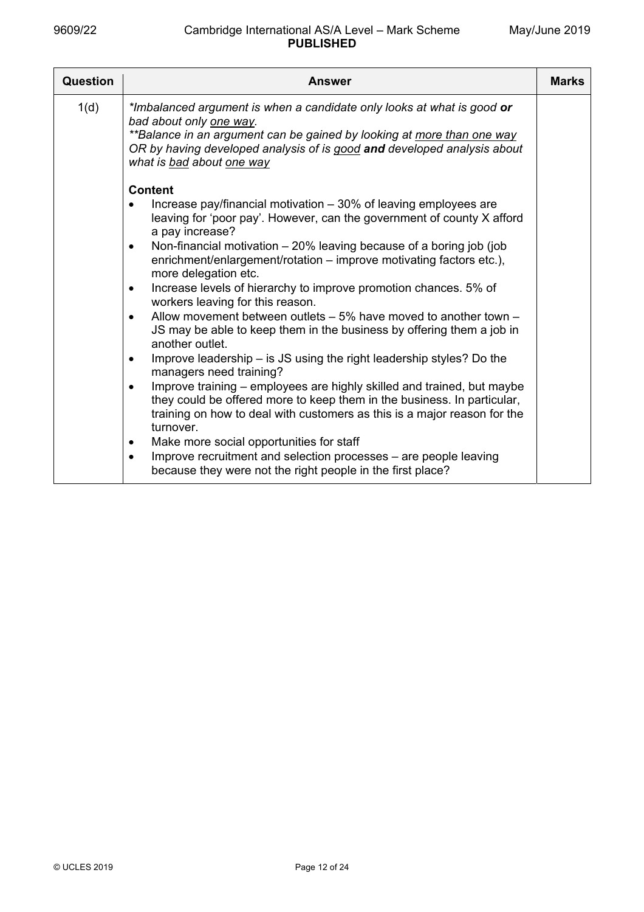| Question | <b>Answer</b>                                                                                                                                                                                                                                                                              | <b>Marks</b> |
|----------|--------------------------------------------------------------------------------------------------------------------------------------------------------------------------------------------------------------------------------------------------------------------------------------------|--------------|
| 1(d)     | *Imbalanced argument is when a candidate only looks at what is good or<br>bad about only one way.<br>**Balance in an argument can be gained by looking at more than one way<br>OR by having developed analysis of is good and developed analysis about<br>what is <b>bad</b> about one way |              |
|          | <b>Content</b>                                                                                                                                                                                                                                                                             |              |
|          | Increase pay/financial motivation – 30% of leaving employees are<br>leaving for 'poor pay'. However, can the government of county X afford<br>a pay increase?                                                                                                                              |              |
|          | Non-financial motivation $-20\%$ leaving because of a boring job (job<br>$\bullet$<br>enrichment/enlargement/rotation - improve motivating factors etc.),<br>more delegation etc.                                                                                                          |              |
|          | Increase levels of hierarchy to improve promotion chances. 5% of<br>$\bullet$<br>workers leaving for this reason.                                                                                                                                                                          |              |
|          | Allow movement between outlets $-5\%$ have moved to another town $-$<br>$\bullet$<br>JS may be able to keep them in the business by offering them a job in<br>another outlet.                                                                                                              |              |
|          | Improve leadership – is JS using the right leadership styles? Do the<br>$\bullet$<br>managers need training?                                                                                                                                                                               |              |
|          | Improve training - employees are highly skilled and trained, but maybe<br>$\bullet$<br>they could be offered more to keep them in the business. In particular,<br>training on how to deal with customers as this is a major reason for the<br>turnover.                                    |              |
|          | Make more social opportunities for staff<br>$\bullet$                                                                                                                                                                                                                                      |              |
|          | Improve recruitment and selection processes – are people leaving<br>$\bullet$<br>because they were not the right people in the first place?                                                                                                                                                |              |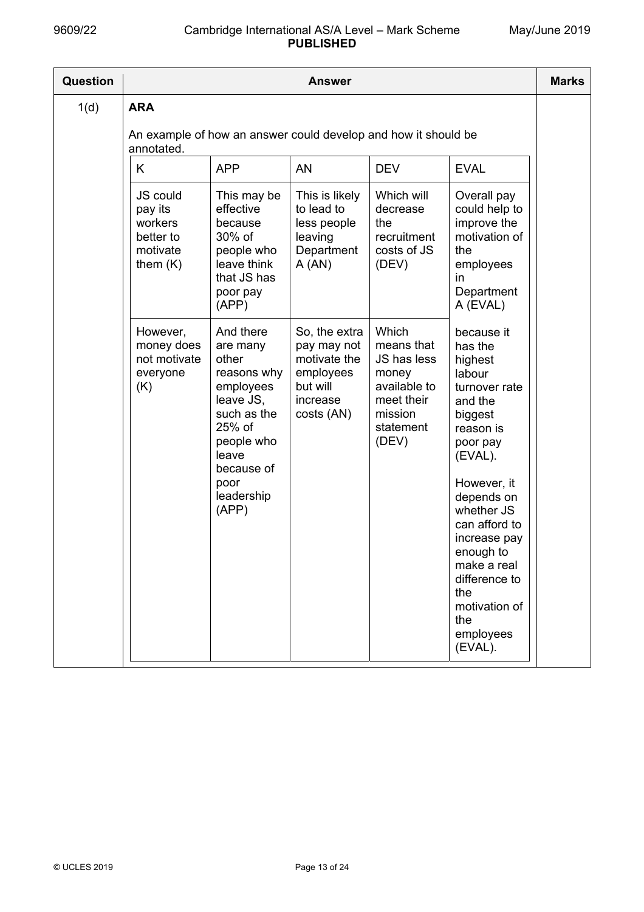| <b>Question</b> | <b>Answer</b>                                                                              |                                                                                                                                                                      |                                                                                                |                                                                                                            |                                                                                                                                                                                                                                                                                                       |  |
|-----------------|--------------------------------------------------------------------------------------------|----------------------------------------------------------------------------------------------------------------------------------------------------------------------|------------------------------------------------------------------------------------------------|------------------------------------------------------------------------------------------------------------|-------------------------------------------------------------------------------------------------------------------------------------------------------------------------------------------------------------------------------------------------------------------------------------------------------|--|
| 1(d)            | <b>ARA</b><br>An example of how an answer could develop and how it should be<br>annotated. |                                                                                                                                                                      |                                                                                                |                                                                                                            |                                                                                                                                                                                                                                                                                                       |  |
|                 | K                                                                                          | <b>APP</b>                                                                                                                                                           | AN                                                                                             | <b>DEV</b>                                                                                                 | <b>EVAL</b>                                                                                                                                                                                                                                                                                           |  |
|                 | <b>JS could</b><br>pay its<br>workers<br>better to<br>motivate<br>them $(K)$               | This may be<br>effective<br>because<br>30% of<br>people who<br>leave think<br>that JS has<br>poor pay<br>(APP)                                                       | This is likely<br>to lead to<br>less people<br>leaving<br>Department<br>A(AN)                  | Which will<br>decrease<br>the<br>recruitment<br>costs of JS<br>(DEV)                                       | Overall pay<br>could help to<br>improve the<br>motivation of<br>the<br>employees<br>in<br>Department<br>A (EVAL)                                                                                                                                                                                      |  |
|                 | However,<br>money does<br>not motivate<br>everyone<br>(K)                                  | And there<br>are many<br>other<br>reasons why<br>employees<br>leave JS,<br>such as the<br>25% of<br>people who<br>leave<br>because of<br>poor<br>leadership<br>(APP) | So, the extra<br>pay may not<br>motivate the<br>employees<br>but will<br>increase<br>costs(AN) | Which<br>means that<br>JS has less<br>money<br>available to<br>meet their<br>mission<br>statement<br>(DEV) | because it<br>has the<br>highest<br>labour<br>turnover rate<br>and the<br>biggest<br>reason is<br>poor pay<br>(EVAL).<br>However, it<br>depends on<br>whether JS<br>can afford to<br>increase pay<br>enough to<br>make a real<br>difference to<br>the<br>motivation of<br>the<br>employees<br>(EVAL). |  |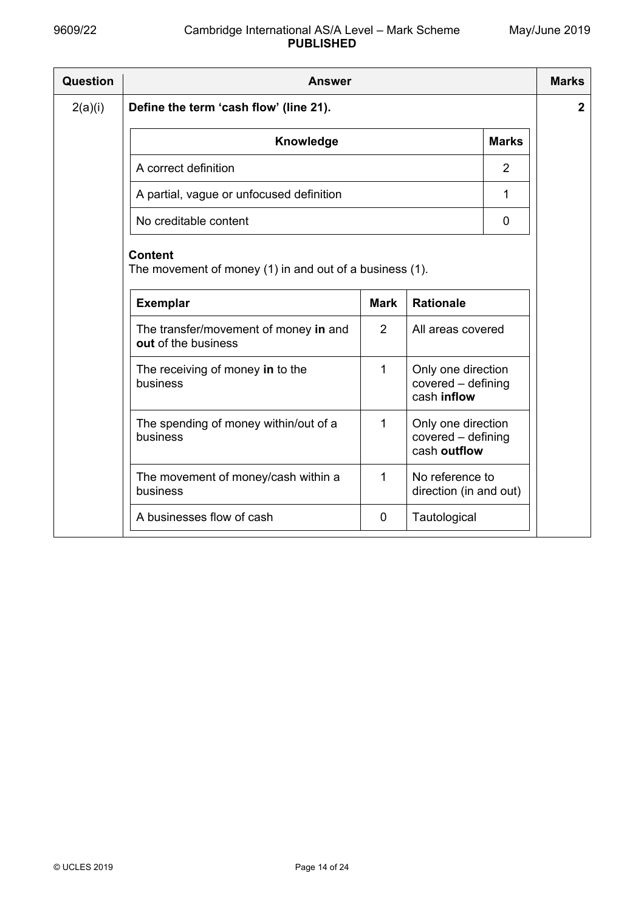| Question | <b>Answer</b>                                                             |             |                                                          |                |                  |  |
|----------|---------------------------------------------------------------------------|-------------|----------------------------------------------------------|----------------|------------------|--|
| 2(a)(i)  | Define the term 'cash flow' (line 21).                                    |             |                                                          |                | $\boldsymbol{2}$ |  |
|          | Knowledge                                                                 |             |                                                          | <b>Marks</b>   |                  |  |
|          | A correct definition                                                      |             |                                                          | $\overline{2}$ |                  |  |
|          | A partial, vague or unfocused definition                                  |             |                                                          | 1              |                  |  |
|          | No creditable content                                                     |             |                                                          | $\mathbf 0$    |                  |  |
|          | <b>Content</b><br>The movement of money (1) in and out of a business (1). |             |                                                          |                |                  |  |
|          | <b>Exemplar</b>                                                           | <b>Mark</b> | <b>Rationale</b>                                         |                |                  |  |
|          | The transfer/movement of money in and<br>out of the business              | 2           | All areas covered                                        |                |                  |  |
|          | The receiving of money in to the<br>business                              | 1           | Only one direction<br>covered - defining<br>cash inflow  |                |                  |  |
|          | The spending of money within/out of a<br>business                         | 1           | Only one direction<br>covered - defining<br>cash outflow |                |                  |  |
|          | The movement of money/cash within a<br>business                           | 1           | No reference to<br>direction (in and out)                |                |                  |  |
|          | A businesses flow of cash                                                 | 0           | Tautological                                             |                |                  |  |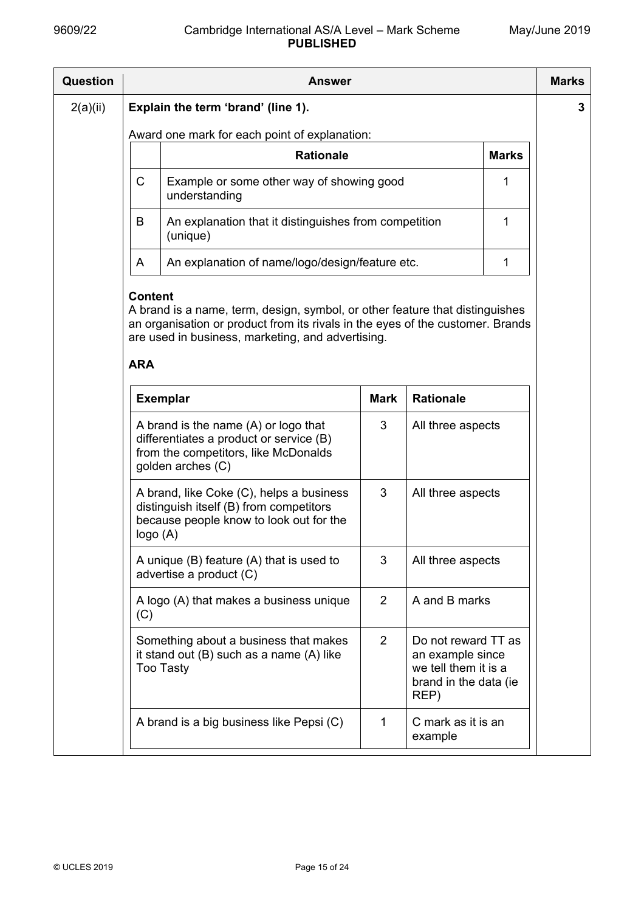| Question | Answer                                                          |                                                                                                                                                |             |                                                                                                  |              |  |  |  |
|----------|-----------------------------------------------------------------|------------------------------------------------------------------------------------------------------------------------------------------------|-------------|--------------------------------------------------------------------------------------------------|--------------|--|--|--|
| 2(a)(ii) | Explain the term 'brand' (line 1).                              |                                                                                                                                                |             |                                                                                                  |              |  |  |  |
|          | Award one mark for each point of explanation:                   |                                                                                                                                                |             |                                                                                                  |              |  |  |  |
|          |                                                                 | <b>Rationale</b>                                                                                                                               |             |                                                                                                  | <b>Marks</b> |  |  |  |
|          | $\mathsf C$                                                     | Example or some other way of showing good<br>understanding                                                                                     |             |                                                                                                  | 1            |  |  |  |
|          | B                                                               | An explanation that it distinguishes from competition<br>(unique)                                                                              |             |                                                                                                  | 1            |  |  |  |
|          | A                                                               | An explanation of name/logo/design/feature etc.                                                                                                |             |                                                                                                  | $\mathbf{1}$ |  |  |  |
|          | are used in business, marketing, and advertising.<br><b>ARA</b> |                                                                                                                                                |             |                                                                                                  |              |  |  |  |
|          |                                                                 | <b>Exemplar</b>                                                                                                                                | <b>Mark</b> | <b>Rationale</b>                                                                                 |              |  |  |  |
|          |                                                                 | A brand is the name $(A)$ or logo that<br>differentiates a product or service (B)<br>from the competitors, like McDonalds<br>golden arches (C) | 3           | All three aspects                                                                                |              |  |  |  |
|          |                                                                 | A brand, like Coke (C), helps a business<br>distinguish itself (B) from competitors<br>because people know to look out for the<br>logo (A)     | 3           | All three aspects<br>All three aspects                                                           |              |  |  |  |
|          |                                                                 | A unique $(B)$ feature $(A)$ that is used to<br>advertise a product (C)                                                                        | 3           |                                                                                                  |              |  |  |  |
|          | A logo (A) that makes a business unique<br>(C)                  |                                                                                                                                                | 2           | A and B marks                                                                                    |              |  |  |  |
|          |                                                                 | Something about a business that makes<br>it stand out (B) such as a name (A) like<br><b>Too Tasty</b>                                          | 2           | Do not reward TT as<br>an example since<br>we tell them it is a<br>brand in the data (ie<br>REP) |              |  |  |  |
|          |                                                                 | A brand is a big business like Pepsi (C)                                                                                                       | 1           | C mark as it is an<br>example                                                                    |              |  |  |  |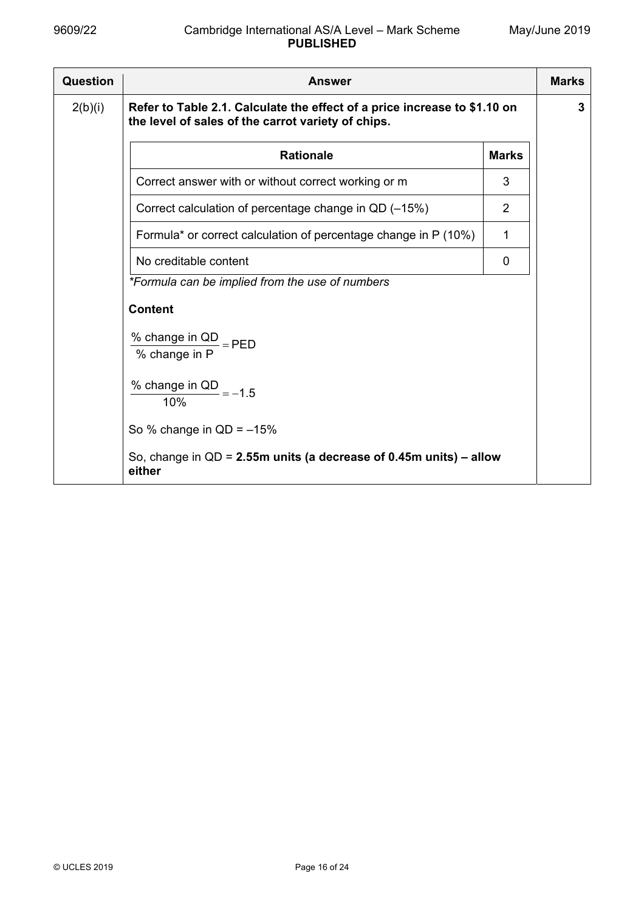| Question | <b>Answer</b>                                                                                                                   |   |  |  |  |  |
|----------|---------------------------------------------------------------------------------------------------------------------------------|---|--|--|--|--|
| 2(b)(i)  | Refer to Table 2.1. Calculate the effect of a price increase to \$1.10 on<br>the level of sales of the carrot variety of chips. |   |  |  |  |  |
|          | <b>Rationale</b><br><b>Marks</b>                                                                                                |   |  |  |  |  |
|          | Correct answer with or without correct working or m                                                                             | 3 |  |  |  |  |
|          | Correct calculation of percentage change in QD (-15%)                                                                           | 2 |  |  |  |  |
|          | Formula* or correct calculation of percentage change in P (10%)                                                                 | 1 |  |  |  |  |
|          | No creditable content                                                                                                           | 0 |  |  |  |  |
|          | *Formula can be implied from the use of numbers                                                                                 |   |  |  |  |  |
|          | <b>Content</b>                                                                                                                  |   |  |  |  |  |
|          | % change in $QD$ = PED<br>% change in P                                                                                         |   |  |  |  |  |
|          | % change in QD $=-1.5$<br>10%                                                                                                   |   |  |  |  |  |
|          | So % change in $QD = -15%$                                                                                                      |   |  |  |  |  |
|          | So, change in $QD = 2.55m$ units (a decrease of 0.45m units) – allow<br>either                                                  |   |  |  |  |  |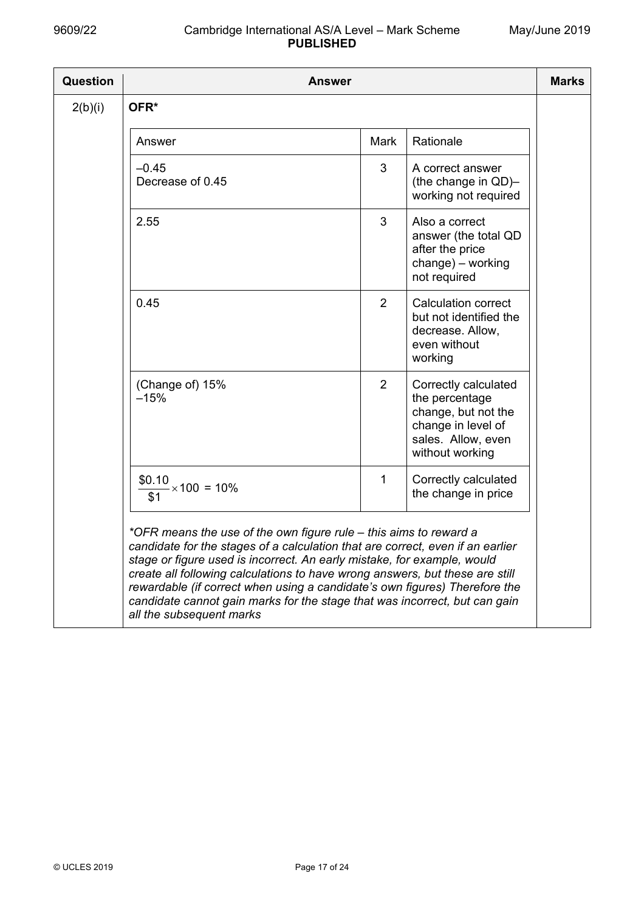| <b>Question</b> | <b>Answer</b>                                                                                                                                                                                                                                                                                                                                                                                                                                                                                          |                |                                                                                                                              | <b>Marks</b> |  |  |
|-----------------|--------------------------------------------------------------------------------------------------------------------------------------------------------------------------------------------------------------------------------------------------------------------------------------------------------------------------------------------------------------------------------------------------------------------------------------------------------------------------------------------------------|----------------|------------------------------------------------------------------------------------------------------------------------------|--------------|--|--|
| 2(b)(i)         | OFR*                                                                                                                                                                                                                                                                                                                                                                                                                                                                                                   |                |                                                                                                                              |              |  |  |
|                 | Answer                                                                                                                                                                                                                                                                                                                                                                                                                                                                                                 | Mark           | Rationale                                                                                                                    |              |  |  |
|                 | $-0.45$<br>Decrease of 0.45                                                                                                                                                                                                                                                                                                                                                                                                                                                                            | 3              | A correct answer<br>(the change in QD)-<br>working not required                                                              |              |  |  |
|                 | 2.55                                                                                                                                                                                                                                                                                                                                                                                                                                                                                                   | 3              | Also a correct<br>answer (the total QD<br>after the price<br>change) - working<br>not required                               |              |  |  |
|                 | 0.45                                                                                                                                                                                                                                                                                                                                                                                                                                                                                                   | 2              | <b>Calculation correct</b><br>but not identified the<br>decrease. Allow,<br>even without<br>working                          |              |  |  |
|                 | (Change of) 15%<br>$-15%$                                                                                                                                                                                                                                                                                                                                                                                                                                                                              | $\overline{2}$ | Correctly calculated<br>the percentage<br>change, but not the<br>change in level of<br>sales. Allow, even<br>without working |              |  |  |
|                 | \$0.10<br>$\frac{3}{2} \times 100 = 10\%$<br>\$1                                                                                                                                                                                                                                                                                                                                                                                                                                                       | 1              | Correctly calculated<br>the change in price                                                                                  |              |  |  |
|                 | *OFR means the use of the own figure rule – this aims to reward a<br>candidate for the stages of a calculation that are correct, even if an earlier<br>stage or figure used is incorrect. An early mistake, for example, would<br>create all following calculations to have wrong answers, but these are still<br>rewardable (if correct when using a candidate's own figures) Therefore the<br>candidate cannot gain marks for the stage that was incorrect, but can gain<br>all the subsequent marks |                |                                                                                                                              |              |  |  |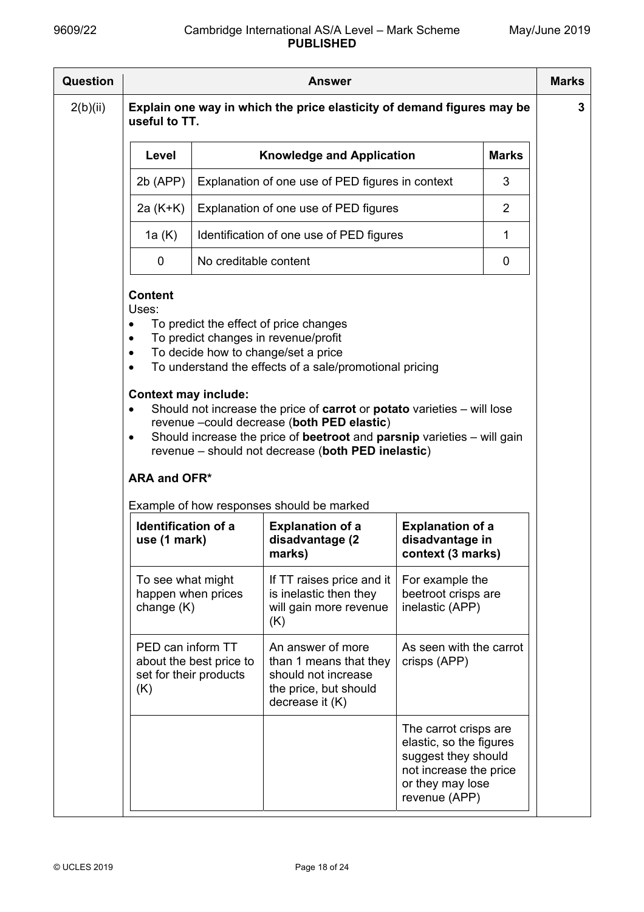| <b>Question</b> | <b>Answer</b>                                                                                                                                                                                                                                                                                                                                                                                                                                                                                                                                                                                                               |                         |                                                                                                                |                                                                                                                                        |                |  |  |  |
|-----------------|-----------------------------------------------------------------------------------------------------------------------------------------------------------------------------------------------------------------------------------------------------------------------------------------------------------------------------------------------------------------------------------------------------------------------------------------------------------------------------------------------------------------------------------------------------------------------------------------------------------------------------|-------------------------|----------------------------------------------------------------------------------------------------------------|----------------------------------------------------------------------------------------------------------------------------------------|----------------|--|--|--|
| 2(b)(ii)        | Explain one way in which the price elasticity of demand figures may be<br>useful to TT.                                                                                                                                                                                                                                                                                                                                                                                                                                                                                                                                     |                         |                                                                                                                |                                                                                                                                        |                |  |  |  |
|                 | <b>Knowledge and Application</b><br><b>Marks</b><br>Level                                                                                                                                                                                                                                                                                                                                                                                                                                                                                                                                                                   |                         |                                                                                                                |                                                                                                                                        |                |  |  |  |
|                 | $2b$ (APP)                                                                                                                                                                                                                                                                                                                                                                                                                                                                                                                                                                                                                  |                         | Explanation of one use of PED figures in context                                                               |                                                                                                                                        |                |  |  |  |
|                 | 2a (K+K)                                                                                                                                                                                                                                                                                                                                                                                                                                                                                                                                                                                                                    |                         | Explanation of one use of PED figures                                                                          |                                                                                                                                        | $\overline{2}$ |  |  |  |
|                 | 1a (K)                                                                                                                                                                                                                                                                                                                                                                                                                                                                                                                                                                                                                      |                         | Identification of one use of PED figures                                                                       |                                                                                                                                        | 1              |  |  |  |
|                 | 0                                                                                                                                                                                                                                                                                                                                                                                                                                                                                                                                                                                                                           | No creditable content   |                                                                                                                |                                                                                                                                        | 0              |  |  |  |
|                 | To predict the effect of price changes<br>$\bullet$<br>To predict changes in revenue/profit<br>$\bullet$<br>To decide how to change/set a price<br>$\bullet$<br>To understand the effects of a sale/promotional pricing<br>$\bullet$<br><b>Context may include:</b><br>Should not increase the price of carrot or potato varieties – will lose<br>$\bullet$<br>revenue -could decrease (both PED elastic)<br>Should increase the price of beetroot and parsnip varieties - will gain<br>$\bullet$<br>revenue - should not decrease (both PED inelastic)<br><b>ARA and OFR*</b><br>Example of how responses should be marked |                         |                                                                                                                |                                                                                                                                        |                |  |  |  |
|                 | <b>Identification of a</b><br>use (1 mark)                                                                                                                                                                                                                                                                                                                                                                                                                                                                                                                                                                                  |                         | <b>Explanation of a</b><br>disadvantage (2<br>marks)                                                           | <b>Explanation of a</b><br>disadvantage in<br>context (3 marks)                                                                        |                |  |  |  |
|                 | To see what might<br>happen when prices<br>change $(K)$                                                                                                                                                                                                                                                                                                                                                                                                                                                                                                                                                                     |                         | If TT raises price and it<br>is inelastic then they<br>will gain more revenue<br>(K)                           | For example the<br>beetroot crisps are<br>inelastic (APP)                                                                              |                |  |  |  |
|                 | PED can inform TT<br>set for their products<br>(K)                                                                                                                                                                                                                                                                                                                                                                                                                                                                                                                                                                          | about the best price to | An answer of more<br>than 1 means that they<br>should not increase<br>the price, but should<br>decrease it (K) | As seen with the carrot<br>crisps (APP)                                                                                                |                |  |  |  |
|                 |                                                                                                                                                                                                                                                                                                                                                                                                                                                                                                                                                                                                                             |                         |                                                                                                                | The carrot crisps are<br>elastic, so the figures<br>suggest they should<br>not increase the price<br>or they may lose<br>revenue (APP) |                |  |  |  |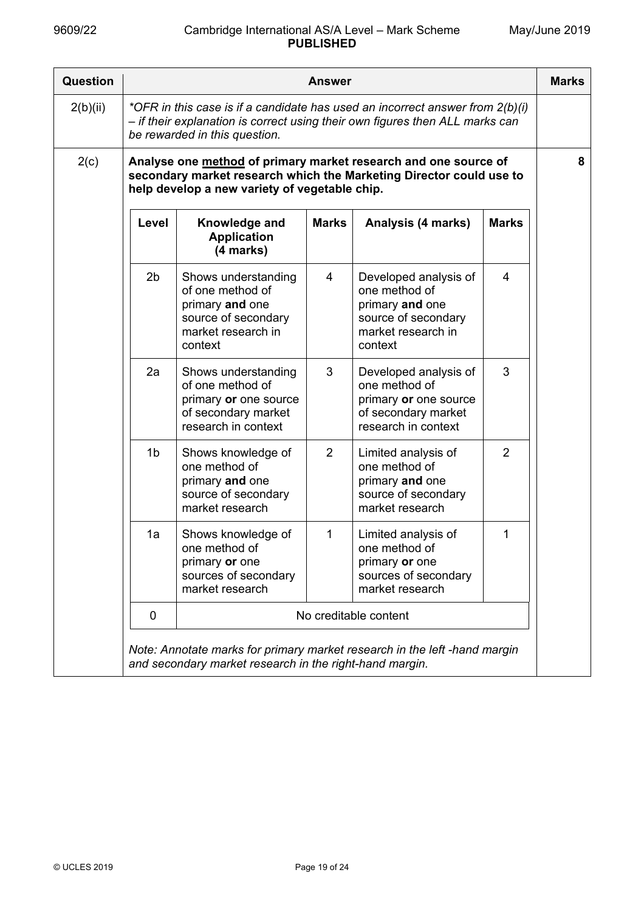| Question |                                                                                                                                                                                                  |                                                                                                                    | <b>Answer</b>  |                                                                                                                                        |                | <b>Marks</b> |  |
|----------|--------------------------------------------------------------------------------------------------------------------------------------------------------------------------------------------------|--------------------------------------------------------------------------------------------------------------------|----------------|----------------------------------------------------------------------------------------------------------------------------------------|----------------|--------------|--|
| 2(b)(ii) | *OFR in this case is if a candidate has used an incorrect answer from $2(b)(i)$<br>- if their explanation is correct using their own figures then ALL marks can<br>be rewarded in this question. |                                                                                                                    |                |                                                                                                                                        |                |              |  |
| 2(c)     |                                                                                                                                                                                                  | help develop a new variety of vegetable chip.                                                                      |                | Analyse one method of primary market research and one source of<br>secondary market research which the Marketing Director could use to |                | 8            |  |
|          | Level                                                                                                                                                                                            | Knowledge and<br><b>Application</b><br>(4 marks)                                                                   | <b>Marks</b>   | Analysis (4 marks)                                                                                                                     | <b>Marks</b>   |              |  |
|          | 2 <sub>b</sub>                                                                                                                                                                                   | Shows understanding<br>of one method of<br>primary and one<br>source of secondary<br>market research in<br>context | $\overline{4}$ | Developed analysis of<br>one method of<br>primary and one<br>source of secondary<br>market research in<br>context                      | $\overline{4}$ |              |  |
|          | 2a                                                                                                                                                                                               | Shows understanding<br>of one method of<br>primary or one source<br>of secondary market<br>research in context     | 3              | Developed analysis of<br>one method of<br>primary or one source<br>of secondary market<br>research in context                          | 3              |              |  |
|          | 1 <sub>b</sub>                                                                                                                                                                                   | Shows knowledge of<br>one method of<br>primary and one<br>source of secondary<br>market research                   | 2              | Limited analysis of<br>one method of<br>primary and one<br>source of secondary<br>market research                                      | $\overline{2}$ |              |  |
|          | 1a                                                                                                                                                                                               | Shows knowledge of<br>one method of<br>primary or one<br>sources of secondary<br>market research                   | 1              | Limited analysis of<br>one method of<br>primary or one<br>sources of secondary<br>market research                                      | 1              |              |  |
|          | 0                                                                                                                                                                                                |                                                                                                                    |                | No creditable content                                                                                                                  |                |              |  |
|          | Note: Annotate marks for primary market research in the left -hand margin<br>and secondary market research in the right-hand margin.                                                             |                                                                                                                    |                |                                                                                                                                        |                |              |  |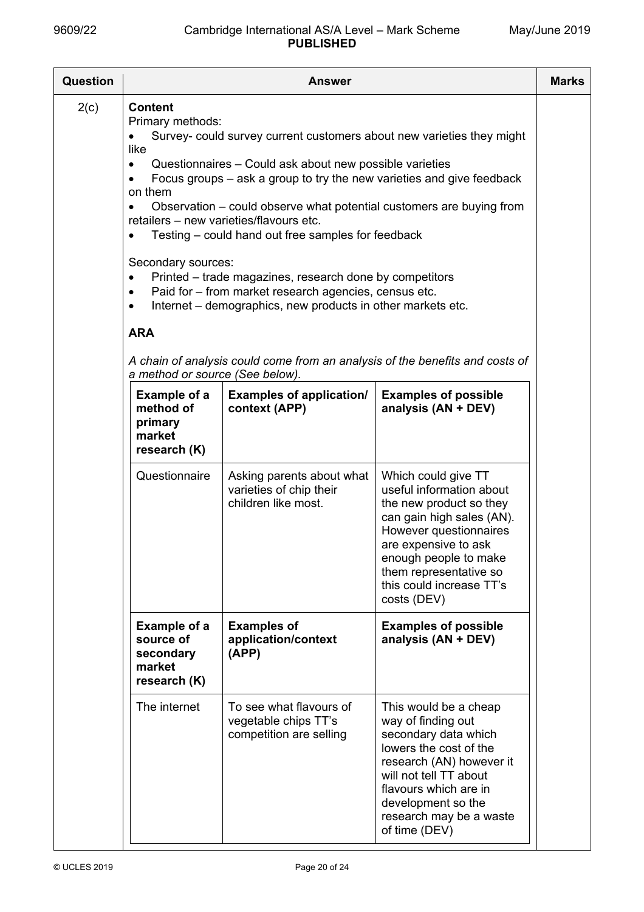| Question | <b>Answer</b>                                                                                                                                                                                                                                                                                                                                                                                                                                                                                                                                                                                                                                                                                                                                                                                                                    |                                                                             |                                                                                                                                                                                                                                                         |  |  |  |
|----------|----------------------------------------------------------------------------------------------------------------------------------------------------------------------------------------------------------------------------------------------------------------------------------------------------------------------------------------------------------------------------------------------------------------------------------------------------------------------------------------------------------------------------------------------------------------------------------------------------------------------------------------------------------------------------------------------------------------------------------------------------------------------------------------------------------------------------------|-----------------------------------------------------------------------------|---------------------------------------------------------------------------------------------------------------------------------------------------------------------------------------------------------------------------------------------------------|--|--|--|
| 2(c)     | <b>Content</b><br>Primary methods:<br>Survey- could survey current customers about new varieties they might<br>like<br>Questionnaires - Could ask about new possible varieties<br>$\bullet$<br>Focus groups – ask a group to try the new varieties and give feedback<br>on them<br>Observation – could observe what potential customers are buying from<br>$\bullet$<br>retailers - new varieties/flavours etc.<br>Testing – could hand out free samples for feedback<br>$\bullet$<br>Secondary sources:<br>Printed – trade magazines, research done by competitors<br>$\bullet$<br>Paid for - from market research agencies, census etc.<br>$\bullet$<br>Internet – demographics, new products in other markets etc.<br>$\bullet$<br><b>ARA</b><br>A chain of analysis could come from an analysis of the benefits and costs of |                                                                             |                                                                                                                                                                                                                                                         |  |  |  |
|          | a method or source (See below).<br>Example of a                                                                                                                                                                                                                                                                                                                                                                                                                                                                                                                                                                                                                                                                                                                                                                                  | <b>Examples of application/</b>                                             | <b>Examples of possible</b>                                                                                                                                                                                                                             |  |  |  |
|          | method of<br>primary<br>market<br>research (K)                                                                                                                                                                                                                                                                                                                                                                                                                                                                                                                                                                                                                                                                                                                                                                                   | context (APP)                                                               | analysis (AN + DEV)                                                                                                                                                                                                                                     |  |  |  |
|          | Questionnaire                                                                                                                                                                                                                                                                                                                                                                                                                                                                                                                                                                                                                                                                                                                                                                                                                    | Asking parents about what<br>varieties of chip their<br>children like most. | Which could give TT<br>useful information about<br>the new product so they<br>can gain high sales (AN).<br>However questionnaires<br>are expensive to ask<br>enough people to make<br>them representative so<br>this could increase TT's<br>costs (DEV) |  |  |  |
|          | Example of a<br>source of<br>secondary<br>market<br>research (K)                                                                                                                                                                                                                                                                                                                                                                                                                                                                                                                                                                                                                                                                                                                                                                 | <b>Examples of</b><br>application/context<br>(APP)                          | <b>Examples of possible</b><br>analysis (AN + DEV)                                                                                                                                                                                                      |  |  |  |
|          | The internet                                                                                                                                                                                                                                                                                                                                                                                                                                                                                                                                                                                                                                                                                                                                                                                                                     | To see what flavours of<br>vegetable chips TT's<br>competition are selling  | This would be a cheap<br>way of finding out<br>secondary data which<br>lowers the cost of the<br>research (AN) however it<br>will not tell TT about<br>flavours which are in<br>development so the<br>research may be a waste<br>of time (DEV)          |  |  |  |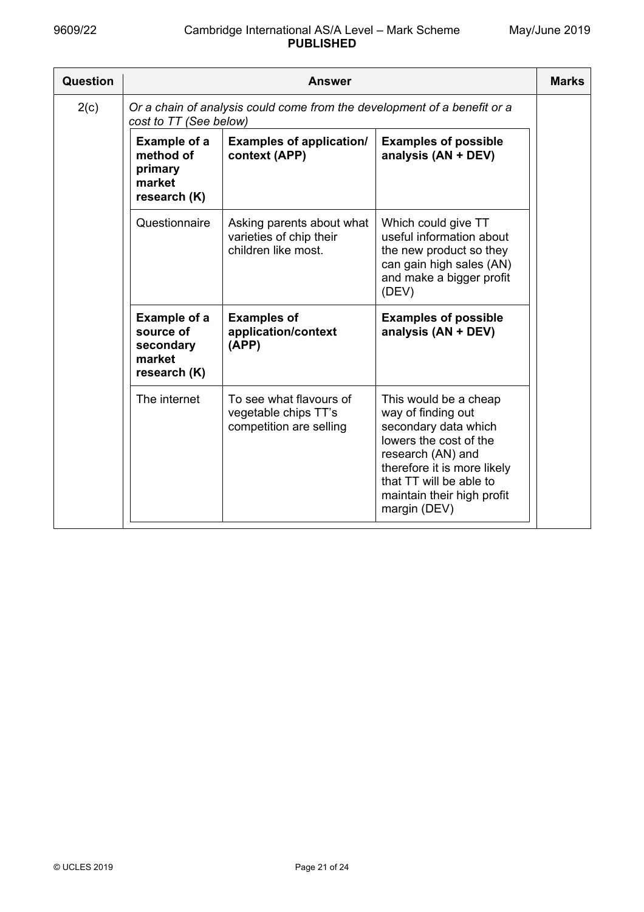| Question |                                                                                                    | Answer                                                                      |                                                                                                                                                                                                                            | <b>Marks</b> |  |  |
|----------|----------------------------------------------------------------------------------------------------|-----------------------------------------------------------------------------|----------------------------------------------------------------------------------------------------------------------------------------------------------------------------------------------------------------------------|--------------|--|--|
| 2(c)     | Or a chain of analysis could come from the development of a benefit or a<br>cost to TT (See below) |                                                                             |                                                                                                                                                                                                                            |              |  |  |
|          | Example of a<br>method of<br>primary<br>market<br>research (K)                                     | <b>Examples of application/</b><br>context (APP)                            | <b>Examples of possible</b><br>analysis (AN + DEV)                                                                                                                                                                         |              |  |  |
|          | Questionnaire                                                                                      | Asking parents about what<br>varieties of chip their<br>children like most. | Which could give TT<br>useful information about<br>the new product so they<br>can gain high sales (AN)<br>and make a bigger profit<br>(DEV)                                                                                |              |  |  |
|          | <b>Example of a</b><br>source of<br>secondary<br>market<br>research (K)                            | <b>Examples of</b><br>application/context<br>(APP)                          | <b>Examples of possible</b><br>analysis (AN + DEV)                                                                                                                                                                         |              |  |  |
|          | The internet                                                                                       | To see what flavours of<br>vegetable chips TT's<br>competition are selling  | This would be a cheap<br>way of finding out<br>secondary data which<br>lowers the cost of the<br>research (AN) and<br>therefore it is more likely<br>that TT will be able to<br>maintain their high profit<br>margin (DEV) |              |  |  |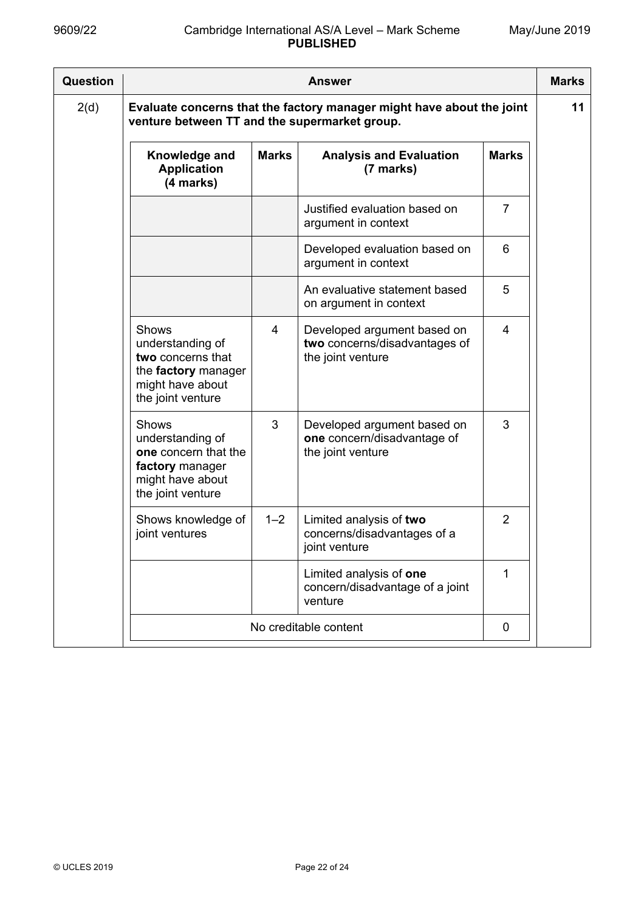| Question | <b>Answer</b>                                                                                                          |              |                                                                                   |                |  |  |
|----------|------------------------------------------------------------------------------------------------------------------------|--------------|-----------------------------------------------------------------------------------|----------------|--|--|
| 2(d)     | Evaluate concerns that the factory manager might have about the joint<br>venture between TT and the supermarket group. |              |                                                                                   |                |  |  |
|          | Knowledge and<br><b>Application</b><br>(4 marks)                                                                       | <b>Marks</b> | <b>Analysis and Evaluation</b><br>(7 marks)                                       | <b>Marks</b>   |  |  |
|          |                                                                                                                        |              | Justified evaluation based on<br>argument in context                              | $\overline{7}$ |  |  |
|          |                                                                                                                        |              | Developed evaluation based on<br>argument in context                              | 6              |  |  |
|          |                                                                                                                        |              | An evaluative statement based<br>on argument in context                           | 5              |  |  |
|          | Shows<br>understanding of<br>two concerns that<br>the factory manager<br>might have about<br>the joint venture         | 4            | Developed argument based on<br>two concerns/disadvantages of<br>the joint venture | 4              |  |  |
|          | <b>Shows</b><br>understanding of<br>one concern that the<br>factory manager<br>might have about<br>the joint venture   | 3            | Developed argument based on<br>one concern/disadvantage of<br>the joint venture   | 3              |  |  |
|          | Shows knowledge of<br>joint ventures                                                                                   | $1 - 2$      | Limited analysis of two<br>concerns/disadvantages of a<br>joint venture           | $\overline{2}$ |  |  |
|          |                                                                                                                        |              | Limited analysis of one<br>concern/disadvantage of a joint<br>venture             | 1              |  |  |
|          |                                                                                                                        |              | No creditable content                                                             | 0              |  |  |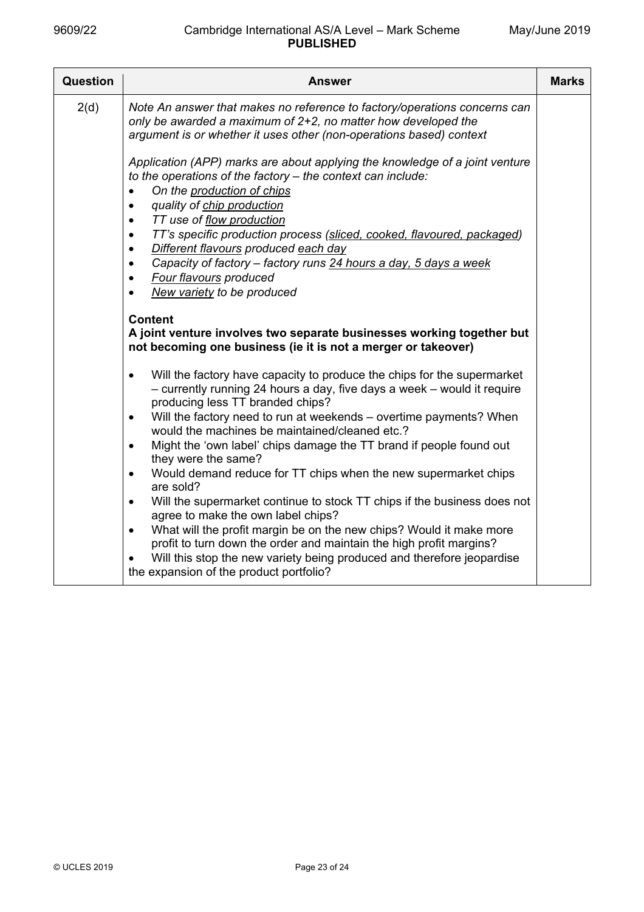| Question | Answer                                                                                                                                                                                                                                                                                                                                                                                                                                                                             | <b>Marks</b> |
|----------|------------------------------------------------------------------------------------------------------------------------------------------------------------------------------------------------------------------------------------------------------------------------------------------------------------------------------------------------------------------------------------------------------------------------------------------------------------------------------------|--------------|
| 2(d)     | Note An answer that makes no reference to factory/operations concerns can<br>only be awarded a maximum of 2+2, no matter how developed the<br>argument is or whether it uses other (non-operations based) context<br>Application (APP) marks are about applying the knowledge of a joint venture<br>to the operations of the factory - the context can include:<br>On the production of chips<br>quality of chip production<br>$\bullet$<br>TT use of flow production<br>$\bullet$ |              |
|          | TT's specific production process (sliced, cooked, flavoured, packaged)<br>٠<br>Different flavours produced each day<br>$\bullet$<br>Capacity of factory - factory runs 24 hours a day, 5 days a week<br>$\bullet$<br><b>Four flavours produced</b><br>$\bullet$<br>New variety to be produced<br>$\bullet$                                                                                                                                                                         |              |
|          | <b>Content</b><br>A joint venture involves two separate businesses working together but<br>not becoming one business (ie it is not a merger or takeover)                                                                                                                                                                                                                                                                                                                           |              |
|          | Will the factory have capacity to produce the chips for the supermarket<br>$\bullet$<br>- currently running 24 hours a day, five days a week - would it require<br>producing less TT branded chips?                                                                                                                                                                                                                                                                                |              |
|          | Will the factory need to run at weekends - overtime payments? When<br>$\bullet$<br>would the machines be maintained/cleaned etc.?                                                                                                                                                                                                                                                                                                                                                  |              |
|          | Might the 'own label' chips damage the TT brand if people found out<br>$\bullet$<br>they were the same?                                                                                                                                                                                                                                                                                                                                                                            |              |
|          | Would demand reduce for TT chips when the new supermarket chips<br>$\bullet$<br>are sold?                                                                                                                                                                                                                                                                                                                                                                                          |              |
|          | Will the supermarket continue to stock TT chips if the business does not<br>$\bullet$<br>agree to make the own label chips?<br>What will the profit margin be on the new chips? Would it make more<br>$\bullet$<br>profit to turn down the order and maintain the high profit margins?<br>Will this stop the new variety being produced and therefore jeopardise                                                                                                                   |              |
|          | the expansion of the product portfolio?                                                                                                                                                                                                                                                                                                                                                                                                                                            |              |